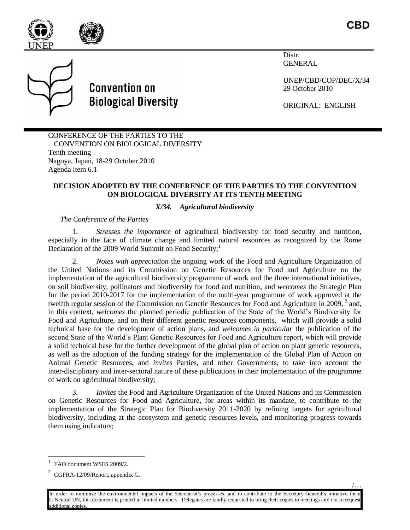

**CBD**



**Convention on Biological Diversity** 

Distr. GENERAL

UNEP/CBD/COP/DEC/X/34 29 October 2010

ORIGINAL: ENGLISH

CONFERENCE OF THE PARTIES TO THE CONVENTION ON BIOLOGICAL DIVERSITY Tenth meeting Nagoya, Japan, 18-29 October 2010 Agenda item 6.1

## **DECISION ADOPTED BY THE CONFERENCE OF THE PARTIES TO THE CONVENTION ON BIOLOGICAL DIVERSITY AT ITS TENTH MEETING**

## *X/34. Agricultural biodiversity*

*The Conference of the Parties*

1. *Stresses the importance* of agricultural biodiversity for food security and nutrition, especially in the face of climate change and limited natural resources as recognized by the Rome Declaration of the 2009 World Summit on Food Security;<sup>1</sup>

2. *Notes with appreciation* the ongoing work of the Food and Agriculture Organization of the United Nations and its Commission on Genetic Resources for Food and Agriculture on the implementation of the agricultural biodiversity programme of work and the three international initiatives, on soil biodiversity, pollinators and biodiversity for food and nutrition, and *welcomes* the Strategic Plan for the period 2010-2017 for the implementation of the multi-year programme of work approved at the twelfth regular session of the Commission on Genetic Resources for Food and Agriculture in 2009,  $2$  and, in this context, *welcomes* the planned periodic publication of the State of the World's Biodiversity for Food and Agriculture, and on their different genetic resources components, which will provide a solid technical base for the development of action plans, and *welcomes in particular* the publication of the second State of the World's Plant Genetic Resources for Food and Agriculture report, which will provide a solid technical base for the further development of the global plan of action on plant genetic resources, as well as the adoption of the funding strategy for the implementation of the Global Plan of Action on Animal Genetic Resources, and *invites* Parties, and other Governments, to take into account the inter-disciplinary and inter-sectoral nature of these publications in their implementation of the programme of work on agricultural biodiversity;

3. *Invites* the Food and Agriculture Organization of the United Nations and its Commission on Genetic Resources for Food and Agriculture, for areas within its mandate, to contribute to the implementation of the Strategic Plan for Biodiversity 2011-2020 by refining targets for agricultural biodiversity, including at the ecosystem and genetic resources levels, and monitoring progress towards them using indicators;

l

/…

FAO document WSFS 2009/2.

 $2$  CGFRA-12/09/Report, appendix G.

In order to minimize the environmental impacts of the Secretariat's processes, and to contribute to the Secretary-General's initiative for a C-Neutral UN, this document is printed in limited numbers. Delegates are kindly requested to bring their copies to meetings and not to request additional copies.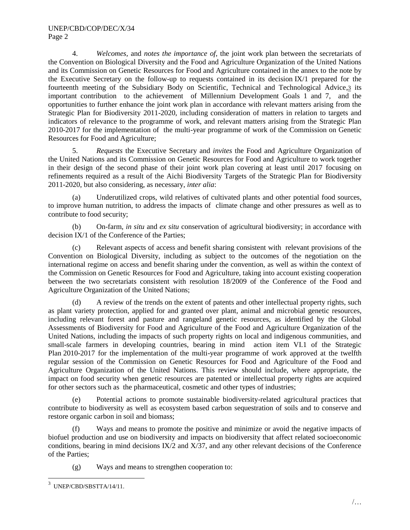4. *Welcomes,* and *notes the importance of*, the joint work plan between the secretariats of the Convention on Biological Diversity and the Food and Agriculture Organization of the United Nations and its Commission on Genetic Resources for Food and Agriculture contained in the annex to the note by the Executive Secretary on the follow-up to requests contained in its decision IX/1 prepared for the fourteenth meeting of the Subsidiary Body on Scientific, Technical and Technological Advice, 3 its important contribution to the achievement of Millennium Development Goals 1 and 7, and the opportunities to further enhance the joint work plan in accordance with relevant matters arising from the Strategic Plan for Biodiversity 2011-2020, including consideration of matters in relation to targets and indicators of relevance to the programme of work, and relevant matters arising from the Strategic Plan 2010-2017 for the implementation of the multi-year programme of work of the Commission on Genetic Resources for Food and Agriculture;

5. *Requests* the Executive Secretary and *invites* the Food and Agriculture Organization of the United Nations and its Commission on Genetic Resources for Food and Agriculture to work together in their design of the second phase of their joint work plan covering at least until 2017 focusing on refinements required as a result of the Aichi Biodiversity Targets of the Strategic Plan for Biodiversity 2011-2020, but also considering, as necessary, *inter alia*:

(a) Underutilized crops, wild relatives of cultivated plants and other potential food sources, to improve human nutrition, to address the impacts of climate change and other pressures as well as to contribute to food security;

(b) On-farm, *in situ* and *ex situ* conservation of agricultural biodiversity; in accordance with decision IX/1 of the Conference of the Parties;

(c) Relevant aspects of access and benefit sharing consistent with relevant provisions of the Convention on Biological Diversity, including as subject to the outcomes of the negotiation on the international regime on access and benefit sharing under the convention, as well as within the context of the Commission on Genetic Resources for Food and Agriculture, taking into account existing cooperation between the two secretariats consistent with resolution 18/2009 of the Conference of the Food and Agriculture Organization of the United Nations;

(d) A review of the trends on the extent of patents and other intellectual property rights, such as plant variety protection, applied for and granted over plant, animal and microbial genetic resources, including relevant forest and pasture and rangeland genetic resources, as identified by the Global Assessments of Biodiversity for Food and Agriculture of the Food and Agriculture Organization of the United Nations, including the impacts of such property rights on local and indigenous communities, and small-scale farmers in developing countries, bearing in mind action item VI.1 of the Strategic Plan 2010-2017 for the implementation of the multi-year programme of work approved at the twelfth regular session of the Commission on Genetic Resources for Food and Agriculture of the Food and Agriculture Organization of the United Nations. This review should include, where appropriate, the impact on food security when genetic resources are patented or intellectual property rights are acquired for other sectors such as the pharmaceutical, cosmetic and other types of industries;

(e) Potential actions to promote sustainable biodiversity-related agricultural practices that contribute to biodiversity as well as ecosystem based carbon sequestration of soils and to conserve and restore organic carbon in soil and biomass;

(f) Ways and means to promote the positive and minimize or avoid the negative impacts of biofuel production and use on biodiversity and impacts on biodiversity that affect related socioeconomic conditions, bearing in mind decisions IX/2 and X/37, and any other relevant decisions of the Conference of the Parties;

(g) Ways and means to strengthen cooperation to:

 $\overline{a}$ 

<sup>3</sup> UNEP/CBD/SBSTTA/14/11.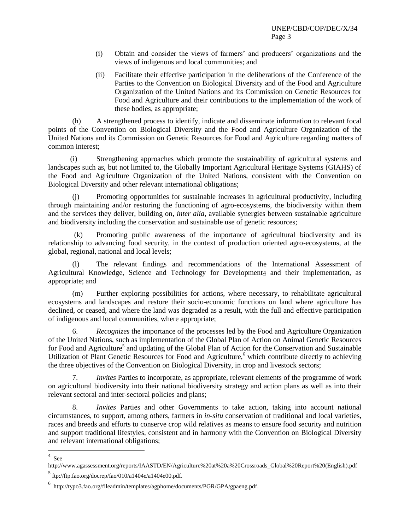- (i) Obtain and consider the views of farmers' and producers' organizations and the views of indigenous and local communities; and
- (ii) Facilitate their effective participation in the deliberations of the Conference of the Parties to the Convention on Biological Diversity and of the Food and Agriculture Organization of the United Nations and its Commission on Genetic Resources for Food and Agriculture and their contributions to the implementation of the work of these bodies, as appropriate;

(h) A strengthened process to identify, indicate and disseminate information to relevant focal points of the Convention on Biological Diversity and the Food and Agriculture Organization of the United Nations and its Commission on Genetic Resources for Food and Agriculture regarding matters of common interest;

(i) Strengthening approaches which promote the sustainability of agricultural systems and landscapes such as, but not limited to, the Globally Important Agricultural Heritage Systems (GIAHS) of the Food and Agriculture Organization of the United Nations, consistent with the Convention on Biological Diversity and other relevant international obligations;

(j) Promoting opportunities for sustainable increases in agricultural productivity, including through maintaining and/or restoring the functioning of agro-ecosystems, the biodiversity within them and the services they deliver, building on*, inter alia*, available synergies between sustainable agriculture and biodiversity including the conservation and sustainable use of genetic resources;

(k) Promoting public awareness of the importance of agricultural biodiversity and its relationship to advancing food security, in the context of production oriented agro-ecosystems, at the global, regional, national and local levels;

(l) The relevant findings and recommendations of the International Assessment of Agricultural Knowledge, Science and Technology for Development<sup>4</sup> and their implementation, as appropriate; and

(m) Further exploring possibilities for actions, where necessary, to rehabilitate agricultural ecosystems and landscapes and restore their socio-economic functions on land where agriculture has declined, or ceased, and where the land was degraded as a result, with the full and effective participation of indigenous and local communities, where appropriate;

6. *Recognizes* the importance of the processes led by the Food and Agriculture Organization of the United Nations, such as implementation of the Global Plan of Action on Animal Genetic Resources for Food and Agriculture<sup>5</sup> and updating of the Global Plan of Action for the Conservation and Sustainable Utilization of Plant Genetic Resources for Food and Agriculture,<sup>6</sup> which contribute directly to achieving the three objectives of the Convention on Biological Diversity, in crop and livestock sectors;

7. *Invites* Parties to incorporate, as appropriate, relevant elements of the programme of work on agricultural biodiversity into their national biodiversity strategy and action plans as well as into their relevant sectoral and inter-sectoral policies and plans;

8. *Invites* Parties and other Governments to take action, taking into account national circumstances, to support, among others, farmers in *in-situ* conservation of traditional and local varieties, races and breeds and efforts to conserve crop wild relatives as means to ensure food security and nutrition and support traditional lifestyles, consistent and in harmony with the Convention on Biological Diversity and relevant international obligations;

 $4 \text{ See}$ 

http://www.agassessment.org/reports/IAASTD/EN/Agriculture%20at%20a%20Crossroads\_Global%20Report%20(English).pdf

 $5$  ftp://ftp.fao.org/docrep/fao/010/a1404e/a1404e00.pdf.

<sup>6</sup> http://typo3.fao.org/fileadmin/templates/agphome/documents/PGR/GPA/gpaeng.pdf.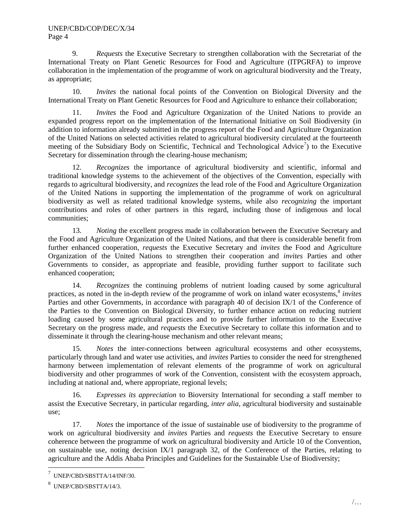9. *Requests* the Executive Secretary to strengthen collaboration with the Secretariat of the International Treaty on Plant Genetic Resources for Food and Agriculture (ITPGRFA) to improve collaboration in the implementation of the programme of work on agricultural biodiversity and the Treaty, as appropriate;

10. *Invites* the national focal points of the Convention on Biological Diversity and the International Treaty on Plant Genetic Resources for Food and Agriculture to enhance their collaboration;

11. *Invites* the Food and Agriculture Organization of the United Nations to provide an expanded progress report on the implementation of the International Initiative on Soil Biodiversity (in addition to information already submitted in the progress report of the Food and Agriculture Organization of the United Nations on selected activities related to agricultural biodiversity circulated at the fourteenth meeting of the Subsidiary Body on Scientific, Technical and Technological Advice<sup>7</sup>) to the Executive Secretary for dissemination through the clearing-house mechanism;

12. *Recognizes* the importance of agricultural biodiversity and scientific, informal and traditional knowledge systems to the achievement of the objectives of the Convention, especially with regards to agricultural biodiversity, and *recognizes* the lead role of the Food and Agriculture Organization of the United Nations in supporting the implementation of the programme of work on agricultural biodiversity as well as related traditional knowledge systems, while also *recognizing* the important contributions and roles of other partners in this regard, including those of indigenous and local communities;

13. *Noting* the excellent progress made in collaboration between the Executive Secretary and the Food and Agriculture Organization of the United Nations, and that there is considerable benefit from further enhanced cooperation, *requests* the Executive Secretary and *invites* the Food and Agriculture Organization of the United Nations to strengthen their cooperation and *invites* Parties and other Governments to consider, as appropriate and feasible, providing further support to facilitate such enhanced cooperation;

14. *Recognizes* the continuing problems of nutrient loading caused by some agricultural practices, as noted in the in-depth review of the programme of work on inland water ecosystems,<sup>8</sup> invites Parties and other Governments, in accordance with paragraph 40 of decision IX/1 of the Conference of the Parties to the Convention on Biological Diversity, to further enhance action on reducing nutrient loading caused by some agricultural practices and to provide further information to the Executive Secretary on the progress made, and *requests* the Executive Secretary to collate this information and to disseminate it through the clearing-house mechanism and other relevant means;

15. *Notes* the inter-connections between agricultural ecosystems and other ecosystems, particularly through land and water use activities, and *invites* Parties to consider the need for strengthened harmony between implementation of relevant elements of the programme of work on agricultural biodiversity and other programmes of work of the Convention, consistent with the ecosystem approach, including at national and, where appropriate, regional levels;

16. *Expresses its appreciation* to Bioversity International for seconding a staff member to assist the Executive Secretary, in particular regarding, *inter alia*, agricultural biodiversity and sustainable use;

17. *Notes* the importance of the issue of sustainable use of biodiversity to the programme of work on agricultural biodiversity and *invites* Parties and *requests* the Executive Secretary to ensure coherence between the programme of work on agricultural biodiversity and Article 10 of the Convention, on sustainable use, noting decision IX/1 paragraph 32, of the Conference of the Parties, relating to agriculture and the Addis Ababa Principles and Guidelines for the Sustainable Use of Biodiversity;

 $\overline{a}$ 

<sup>7</sup> UNEP/CBD/SBSTTA/14/INF/30.

<sup>8</sup> UNEP/CBD/SBSTTA/14/3.